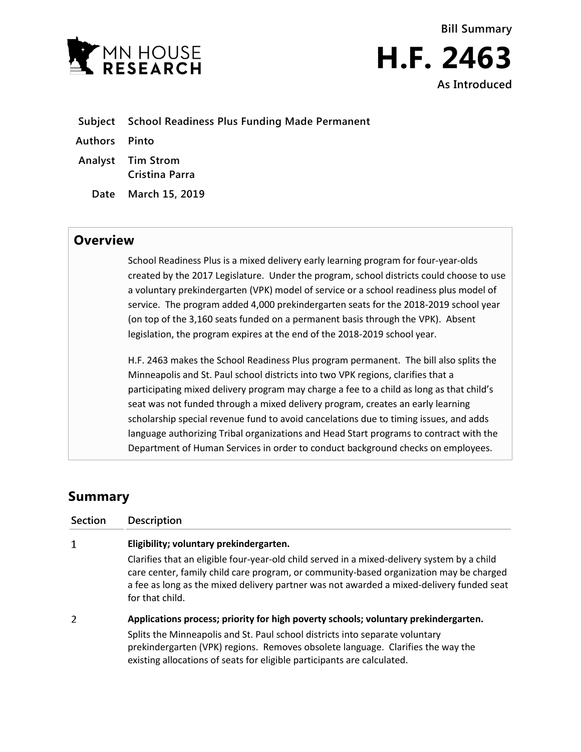



**Subject School Readiness Plus Funding Made Permanent**

**Authors Pinto**

**Analyst Tim Strom Cristina Parra**

**Date March 15, 2019**

## **Overview**

School Readiness Plus is a mixed delivery early learning program for four-year-olds created by the 2017 Legislature. Under the program, school districts could choose to use a voluntary prekindergarten (VPK) model of service or a school readiness plus model of service. The program added 4,000 prekindergarten seats for the 2018-2019 school year (on top of the 3,160 seats funded on a permanent basis through the VPK). Absent legislation, the program expires at the end of the 2018-2019 school year.

H.F. 2463 makes the School Readiness Plus program permanent. The bill also splits the Minneapolis and St. Paul school districts into two VPK regions, clarifies that a participating mixed delivery program may charge a fee to a child as long as that child's seat was not funded through a mixed delivery program, creates an early learning scholarship special revenue fund to avoid cancelations due to timing issues, and adds language authorizing Tribal organizations and Head Start programs to contract with the Department of Human Services in order to conduct background checks on employees.

# **Summary**

| <b>Section</b> | <b>Description</b>                                                                                                                                                                                                                                                                                                                |
|----------------|-----------------------------------------------------------------------------------------------------------------------------------------------------------------------------------------------------------------------------------------------------------------------------------------------------------------------------------|
| 1              | Eligibility; voluntary prekindergarten.                                                                                                                                                                                                                                                                                           |
|                | Clarifies that an eligible four-year-old child served in a mixed-delivery system by a child<br>care center, family child care program, or community-based organization may be charged<br>a fee as long as the mixed delivery partner was not awarded a mixed-delivery funded seat<br>for that child.                              |
| 2              | Applications process; priority for high poverty schools; voluntary prekindergarten.<br>Splits the Minneapolis and St. Paul school districts into separate voluntary<br>prekindergarten (VPK) regions. Removes obsolete language. Clarifies the way the<br>existing allocations of seats for eligible participants are calculated. |